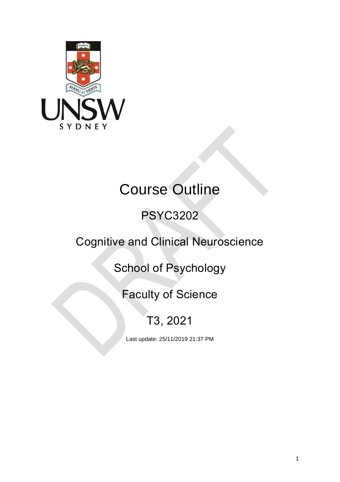

# Course Outline

## PSYC3202

## Cognitive and Clinical Neuroscience

School of Psychology

Faculty of Science

# T3, 2021

Last update: 25/11/2019 21:37 PM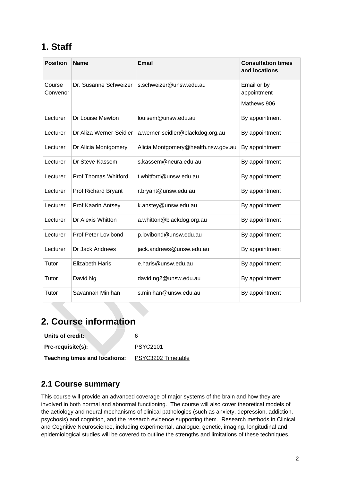## **1. Staff**

| <b>Position</b>    | <b>Name</b>                 | <b>Email</b>                        | <b>Consultation times</b><br>and locations |
|--------------------|-----------------------------|-------------------------------------|--------------------------------------------|
| Course<br>Convenor | Dr. Susanne Schweizer       | s.schweizer@unsw.edu.au             | Email or by<br>appointment<br>Mathews 906  |
| Lecturer           | Dr Louise Mewton            | louisem@unsw.edu.au                 | By appointment                             |
| Lecturer           | Dr Aliza Werner-Seidler     | a.werner-seidler@blackdog.org.au    | By appointment                             |
| Lecturer           | Dr Alicia Montgomery        | Alicia.Montgomery@health.nsw.gov.au | By appointment                             |
| Lecturer           | Dr Steve Kassem             | s.kassem@neura.edu.au               | By appointment                             |
| Lecturer           | <b>Prof Thomas Whitford</b> | t.whitford@unsw.edu.au              | By appointment                             |
| Lecturer           | Prof Richard Bryant         | r.bryant@unsw.edu.au                | By appointment                             |
| Lecturer           | Prof Kaarin Antsey          | k.anstey@unsw.edu.au                | By appointment                             |
| Lecturer           | Dr Alexis Whitton           | a.whitton@blackdog.org.au           | By appointment                             |
| Lecturer           | Prof Peter Lovibond         | p.lovibond@unsw.edu.au              | By appointment                             |
| Lecturer           | Dr Jack Andrews             | jack.andrews@unsw.edu.au            | By appointment                             |
| Tutor              | <b>Elizabeth Haris</b>      | e.haris@unsw.edu.au                 | By appointment                             |
| Tutor              | David Ng                    | david.ng2@unsw.edu.au               | By appointment                             |
| Tutor              | Savannah Minihan            | s.minihan@unsw.edu.au               | By appointment                             |

## **2. Course information**

| Units of credit:                     | 6                  |
|--------------------------------------|--------------------|
| Pre-requisite(s):                    | <b>PSYC2101</b>    |
| <b>Teaching times and locations:</b> | PSYC3202 Timetable |

#### **2.1 Course summary**

This course will provide an advanced coverage of major systems of the brain and how they are involved in both normal and abnormal functioning. The course will also cover theoretical models of the aetiology and neural mechanisms of clinical pathologies (such as anxiety, depression, addiction, psychosis) and cognition, and the research evidence supporting them. Research methods in Clinical and Cognitive Neuroscience, including experimental, analogue, genetic, imaging, longitudinal and epidemiological studies will be covered to outline the strengths and limitations of these techniques.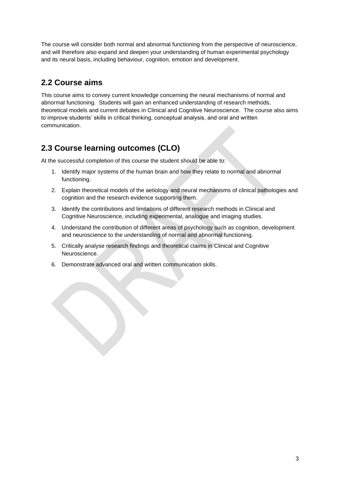The course will consider both normal and abnormal functioning from the perspective of neuroscience, and will therefore also expand and deepen your understanding of human experimental psychology and its neural basis, including behaviour, cognition, emotion and development.

#### **2.2 Course aims**

This course aims to convey current knowledge concerning the neural mechanisms of normal and abnormal functioning. Students will gain an enhanced understanding of research methods, theoretical models and current debates in Clinical and Cognitive Neuroscience. The course also aims to improve students' skills in critical thinking, conceptual analysis, and oral and written communication.

### **2.3 Course learning outcomes (CLO)**

At the successful completion of this course the student should be able to:

- 1. Identify major systems of the human brain and how they relate to normal and abnormal functioning.
- 2. Explain theoretical models of the aetiology and neural mechanisms of clinical pathologies and cognition and the research evidence supporting them.
- 3. Identify the contributions and limitations of different research methods in Clinical and Cognitive Neuroscience, including experimental, analogue and imaging studies.
- 4. Understand the contribution of different areas of psychology such as cognition, development and neuroscience to the understanding of normal and abnormal functioning.
- 5. Critically analyse research findings and theoretical claims in Clinical and Cognitive Neuroscience.
- 6. Demonstrate advanced oral and written communication skills.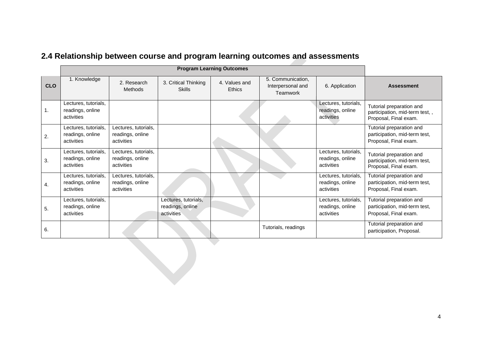|            | <b>Program Learning Outcomes</b>                       |                                                        |                                                        |                         |                                                           |                                                        |                                                                                     |
|------------|--------------------------------------------------------|--------------------------------------------------------|--------------------------------------------------------|-------------------------|-----------------------------------------------------------|--------------------------------------------------------|-------------------------------------------------------------------------------------|
| <b>CLO</b> | 1. Knowledge                                           | 2. Research<br>Methods                                 | 3. Critical Thinking<br><b>Skills</b>                  | 4. Values and<br>Ethics | 5. Communication,<br>Interpersonal and<br><b>Teamwork</b> | 6. Application                                         | <b>Assessment</b>                                                                   |
| 1.         | Lectures, tutorials,<br>readings, online<br>activities |                                                        |                                                        |                         |                                                           | Lectures, tutorials,<br>readings, online<br>activities | Tutorial preparation and<br>participation, mid-term test,,<br>Proposal, Final exam. |
| 2.         | Lectures, tutorials,<br>readings, online<br>activities | Lectures, tutorials,<br>readings, online<br>activities |                                                        |                         |                                                           |                                                        | Tutorial preparation and<br>participation, mid-term test,<br>Proposal, Final exam.  |
| 3.         | Lectures, tutorials,<br>readings, online<br>activities | Lectures, tutorials,<br>readings, online<br>activities |                                                        |                         |                                                           | Lectures, tutorials,<br>readings, online<br>activities | Tutorial preparation and<br>participation, mid-term test,<br>Proposal, Final exam.  |
| 4.         | Lectures, tutorials,<br>readings, online<br>activities | Lectures, tutorials,<br>readings, online<br>activities |                                                        |                         |                                                           | Lectures, tutorials,<br>readings, online<br>activities | Tutorial preparation and<br>participation, mid-term test,<br>Proposal, Final exam.  |
| 5.         | Lectures, tutorials,<br>readings, online<br>activities |                                                        | Lectures, tutorials,<br>readings, online<br>activities |                         |                                                           | Lectures, tutorials,<br>readings, online<br>activities | Tutorial preparation and<br>participation, mid-term test,<br>Proposal, Final exam.  |
| 6.         |                                                        |                                                        |                                                        |                         | Tutorials, readings                                       |                                                        | Tutorial preparation and<br>participation, Proposal.                                |

## **2.4 Relationship between course and program learning outcomes and assessments**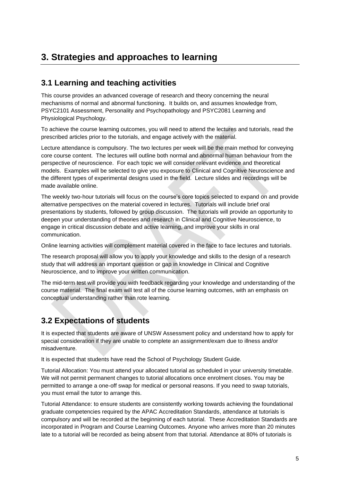## **3. Strategies and approaches to learning**

#### **3.1 Learning and teaching activities**

This course provides an advanced coverage of research and theory concerning the neural mechanisms of normal and abnormal functioning. It builds on, and assumes knowledge from, PSYC2101 Assessment, Personality and Psychopathology and PSYC2081 Learning and Physiological Psychology.

To achieve the course learning outcomes, you will need to attend the lectures and tutorials, read the prescribed articles prior to the tutorials, and engage actively with the material.

Lecture attendance is compulsory. The two lectures per week will be the main method for conveying core course content. The lectures will outline both normal and abnormal human behaviour from the perspective of neuroscience. For each topic we will consider relevant evidence and theoretical models. Examples will be selected to give you exposure to Clinical and Cognitive Neuroscience and the different types of experimental designs used in the field. Lecture slides and recordings will be made available online.

The weekly two-hour tutorials will focus on the course's core topics selected to expand on and provide alternative perspectives on the material covered in lectures. Tutorials will include brief oral presentations by students, followed by group discussion. The tutorials will provide an opportunity to deepen your understanding of theories and research in Clinical and Cognitive Neuroscience, to engage in critical discussion debate and active learning, and improve your skills in oral communication.

Online learning activities will complement material covered in the face to face lectures and tutorials.

The research proposal will allow you to apply your knowledge and skills to the design of a research study that will address an important question or gap in knowledge in Clinical and Cognitive Neuroscience, and to improve your written communication.

The mid-term test will provide you with feedback regarding your knowledge and understanding of the course material. The final exam will test all of the course learning outcomes, with an emphasis on conceptual understanding rather than rote learning.

#### **3.2 Expectations of students**

It is expected that students are aware of UNSW Assessment policy and understand how to apply for special consideration if they are unable to complete an assignment/exam due to illness and/or misadventure.

It is expected that students have read the School of Psychology Student Guide.

Tutorial Allocation: You must attend your allocated tutorial as scheduled in your university timetable. We will not permit permanent changes to tutorial allocations once enrolment closes. You may be permitted to arrange a one-off swap for medical or personal reasons. If you need to swap tutorials, you must email the tutor to arrange this.

Tutorial Attendance: to ensure students are consistently working towards achieving the foundational graduate competencies required by the APAC Accreditation Standards, attendance at tutorials is compulsory and will be recorded at the beginning of each tutorial. These Accreditation Standards are incorporated in Program and Course Learning Outcomes. Anyone who arrives more than 20 minutes late to a tutorial will be recorded as being absent from that tutorial. Attendance at 80% of tutorials is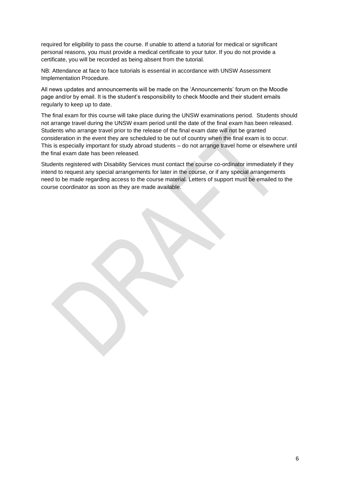required for eligibility to pass the course. If unable to attend a tutorial for medical or significant personal reasons, you must provide a medical certificate to your tutor. If you do not provide a certificate, you will be recorded as being absent from the tutorial.

NB: Attendance at face to face tutorials is essential in accordance with UNSW Assessment Implementation Procedure.

All news updates and announcements will be made on the 'Announcements' forum on the Moodle page and/or by email. It is the student's responsibility to check Moodle and their student emails regularly to keep up to date.

The final exam for this course will take place during the UNSW examinations period. Students should not arrange travel during the UNSW exam period until the date of the final exam has been released. Students who arrange travel prior to the release of the final exam date will not be granted consideration in the event they are scheduled to be out of country when the final exam is to occur. This is especially important for study abroad students – do not arrange travel home or elsewhere until the final exam date has been released.

Students registered with Disability Services must contact the course co-ordinator immediately if they intend to request any special arrangements for later in the course, or if any special arrangements need to be made regarding access to the course material. Letters of support must be emailed to the course coordinator as soon as they are made available.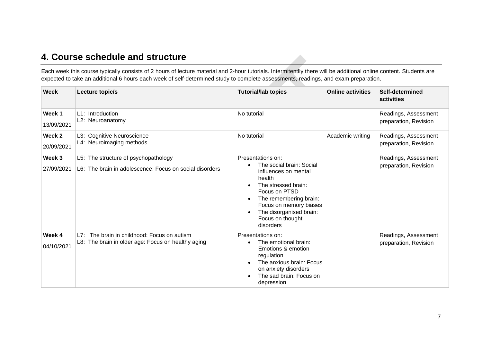#### **4. Course schedule and structure**

Each week this course typically consists of 2 hours of lecture material and 2-hour tutorials. Intermitentlly there will be additional online content. Students are expected to take an additional 6 hours each week of self-determined study to complete assessments, readings, and exam preparation.

| <b>Week</b>          | Lecture topic/s                                                                                      | <b>Tutorial/lab topics</b>                                                                                                                                                                                                              | <b>Online activities</b> | Self-determined<br>activities                 |
|----------------------|------------------------------------------------------------------------------------------------------|-----------------------------------------------------------------------------------------------------------------------------------------------------------------------------------------------------------------------------------------|--------------------------|-----------------------------------------------|
| Week 1<br>13/09/2021 | L1: Introduction<br>L2: Neuroanatomy                                                                 | No tutorial                                                                                                                                                                                                                             |                          | Readings, Assessment<br>preparation, Revision |
| Week 2<br>20/09/2021 | L3: Cognitive Neuroscience<br>L4: Neuroimaging methods                                               | No tutorial                                                                                                                                                                                                                             | Academic writing         | Readings, Assessment<br>preparation, Revision |
| Week 3<br>27/09/2021 | L5: The structure of psychopathology<br>L6: The brain in adolescence: Focus on social disorders      | Presentations on:<br>The social brain: Social<br>influences on mental<br>health<br>The stressed brain:<br>Focus on PTSD<br>The remembering brain:<br>Focus on memory biases<br>The disorganised brain:<br>Focus on thought<br>disorders |                          | Readings, Assessment<br>preparation, Revision |
| Week 4<br>04/10/2021 | The brain in childhood: Focus on autism<br>L7:<br>L8: The brain in older age: Focus on healthy aging | Presentations on:<br>The emotional brain:<br>Emotions & emotion<br>regulation<br>The anxious brain: Focus<br>on anxiety disorders<br>The sad brain: Focus on<br>depression                                                              |                          | Readings, Assessment<br>preparation, Revision |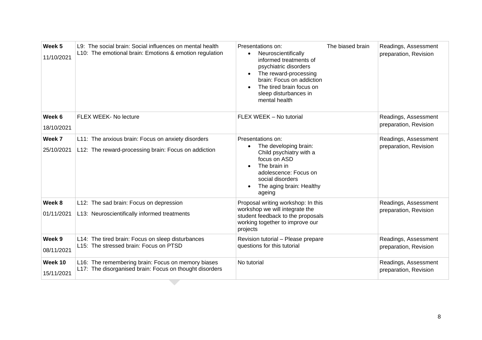| Week 5<br>11/10/2021  | L9: The social brain: Social influences on mental health<br>L10: The emotional brain: Emotions & emotion regulation | Presentations on:<br>The biased brain<br>Neuroscientifically<br>$\bullet$<br>informed treatments of<br>psychiatric disorders<br>The reward-processing<br>brain: Focus on addiction<br>The tired brain focus on<br>sleep disturbances in<br>mental health | Readings, Assessment<br>preparation, Revision |
|-----------------------|---------------------------------------------------------------------------------------------------------------------|----------------------------------------------------------------------------------------------------------------------------------------------------------------------------------------------------------------------------------------------------------|-----------------------------------------------|
| Week 6<br>18/10/2021  | FLEX WEEK- No lecture                                                                                               | FLEX WEEK - No tutorial                                                                                                                                                                                                                                  | Readings, Assessment<br>preparation, Revision |
| Week 7<br>25/10/2021  | L11: The anxious brain: Focus on anxiety disorders<br>L12: The reward-processing brain: Focus on addiction          | Presentations on:<br>The developing brain:<br>Child psychiatry with a<br>focus on ASD<br>The brain in<br>$\bullet$<br>adolescence: Focus on<br>social disorders<br>The aging brain: Healthy<br>ageing                                                    | Readings, Assessment<br>preparation, Revision |
| Week 8<br>01/11/2021  | L12: The sad brain: Focus on depression<br>L13: Neuroscientifically informed treatments                             | Proposal writing workshop: In this<br>workshop we will integrate the<br>student feedback to the proposals<br>working together to improve our<br>projects                                                                                                 | Readings, Assessment<br>preparation, Revision |
| Week 9<br>08/11/2021  | L14: The tired brain: Focus on sleep disturbances<br>L15: The stressed brain: Focus on PTSD                         | Revision tutorial - Please prepare<br>questions for this tutorial                                                                                                                                                                                        | Readings, Assessment<br>preparation, Revision |
| Week 10<br>15/11/2021 | L16: The remembering brain: Focus on memory biases<br>L17: The disorganised brain: Focus on thought disorders       | No tutorial                                                                                                                                                                                                                                              | Readings, Assessment<br>preparation, Revision |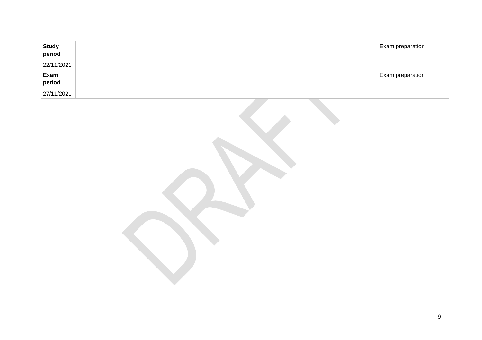| Study<br>period | Exam preparation |
|-----------------|------------------|
| 22/11/2021      |                  |
| Exam<br>period  | Exam preparation |
| 27/11/2021      |                  |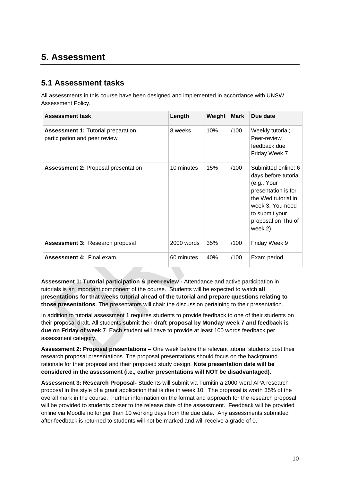## **5. Assessment**

#### **5.1 Assessment tasks**

All assessments in this course have been designed and implemented in accordance with UNSW Assessment Policy.

| <b>Assessment task</b>                                                      | Length     | Weight | <b>Mark</b> | Due date                                                                                                                                                                        |
|-----------------------------------------------------------------------------|------------|--------|-------------|---------------------------------------------------------------------------------------------------------------------------------------------------------------------------------|
| <b>Assessment 1: Tutorial preparation,</b><br>participation and peer review | 8 weeks    | 10%    | /100        | Weekly tutorial;<br>Peer-review<br>feedback due<br>Friday Week 7                                                                                                                |
| <b>Assessment 2: Proposal presentation</b>                                  | 10 minutes | 15%    | /100        | Submitted online: 6<br>days before tutorial<br>(e.g., Your<br>presentation is for<br>the Wed tutorial in<br>week 3. You need<br>to submit your<br>proposal on Thu of<br>week 2) |
| <b>Assessment 3: Research proposal</b>                                      | 2000 words | 35%    | /100        | Friday Week 9                                                                                                                                                                   |
| <b>Assessment 4: Final exam</b>                                             | 60 minutes | 40%    | /100        | Exam period                                                                                                                                                                     |

**Assessment 1: Tutorial participation & peer-review -** Attendance and active participation in tutorials is an important component of the course. Students will be expected to watch **all presentations for that weeks tutorial ahead of the tutorial and prepare questions relating to those presentations**. The presentators will chair the discussion pertaining to their presentation.

In addition to tutorial assessment 1 requires students to provide feedback to one of their students on their proposal draft. All students submit their **draft proposal by Monday week 7 and feedback is due on Friday of week 7**. Each student will have to provide at least 100 words feedback per assessment category.

**Assessment 2: Proposal presentations –** One week before the relevant tutorial students post their research proposal presentations. The proposal presentations should focus on the background rationale for their proposal and their proposed study design. **Note presentation date will be considered in the assessment (i.e., earlier presentations will NOT be disadvantaged).**

**Assessment 3: Research Proposal-** Students will submit via Turnitin a 2000-word APA research proposal in the style of a grant application that is due in week 10. The proposal is worth 35% of the overall mark in the course. Further information on the format and approach for the research proposal will be provided to students closer to the release date of the assessment. Feedback will be provided online via Moodle no longer than 10 working days from the due date. Any assessments submitted after feedback is returned to students will not be marked and will receive a grade of 0.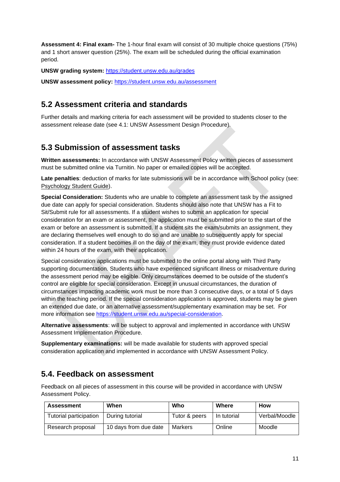**Assessment 4: Final exam-** The 1-hour final exam will consist of 30 multiple choice questions (75%) and 1 short answer question (25%). The exam will be scheduled during the official examination period.

**UNSW grading system:** <https://student.unsw.edu.au/grades>

**UNSW assessment policy:** <https://student.unsw.edu.au/assessment>

#### **5.2 Assessment criteria and standards**

Further details and marking criteria for each assessment will be provided to students closer to the assessment release date (see 4.1: UNSW Assessment Design Procedure).

#### **5.3 Submission of assessment tasks**

**Written assessments:** In accordance with UNSW Assessment Policy written pieces of assessment must be submitted online via Turnitin. No paper or emailed copies will be accepted.

**Late penalties**: deduction of marks for late submissions will be in accordance with School policy (see: [Psychology Student Guide\)](https://moodle.telt.unsw.edu.au/mod/resource/view.php?id=1630526).

**Special Consideration:** Students who are unable to complete an assessment task by the assigned due date can apply for special consideration. Students should also note that UNSW has a Fit to Sit/Submit rule for all assessments. If a student wishes to submit an application for special consideration for an exam or assessment, the application must be submitted prior to the start of the exam or before an assessment is submitted. If a student sits the exam/submits an assignment, they are declaring themselves well enough to do so and are unable to subsequently apply for special consideration. If a student becomes ill on the day of the exam, they must provide evidence dated within 24 hours of the exam, with their application.

Special consideration applications must be submitted to the online portal along with Third Party supporting documentation. Students who have experienced significant illness or misadventure during the assessment period may be eligible. Only circumstances deemed to be outside of the student's control are eligible for special consideration. Except in unusual circumstances, the duration of circumstances impacting academic work must be more than 3 consecutive days, or a total of 5 days within the teaching period. If the special consideration application is approved, students may be given an extended due date, or an alternative assessment/supplementary examination may be set. For more information see [https://student.unsw.edu.au/special-consideration.](https://student.unsw.edu.au/special-consideration)

**Alternative assessments**: will be subject to approval and implemented in accordance with UNSW Assessment Implementation Procedure.

**Supplementary examinations:** will be made available for students with approved special consideration application and implemented in accordance with UNSW Assessment Policy.

#### **5.4. Feedback on assessment**

Feedback on all pieces of assessment in this course will be provided in accordance with UNSW Assessment Policy.

| <b>Assessment</b>      | When                  | Who           | Where       | How           |
|------------------------|-----------------------|---------------|-------------|---------------|
| Tutorial participation | During tutorial       | Tutor & peers | In tutorial | Verbal/Moodle |
| Research proposal      | 10 days from due date | Markers       | Online      | Moodle        |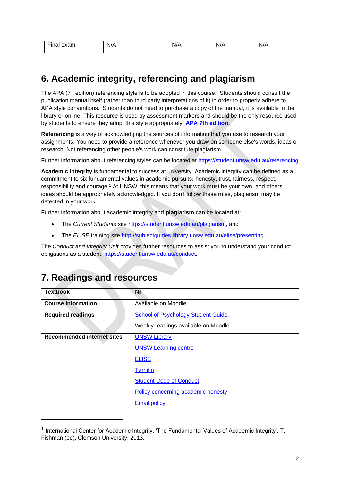| $-$<br>nvnm<br>exam | N/A | N/A | $\blacksquare$<br>N/A | N/A |
|---------------------|-----|-----|-----------------------|-----|
|                     |     |     |                       |     |

## **6. Academic integrity, referencing and plagiarism**

The APA (7<sup>th</sup> edition) referencing style is to be adopted in this course.  $\,$  Students should consult the publication manual itself (rather than third party interpretations of it) in order to properly adhere to APA style conventions. Students do not need to purchase a copy of the manual, it is available in the library or online. This resource is used by assessment markers and should be the only resource used by students to ensure they adopt this style appropriately: **[APA 7th edition.](http://www.apastyle.org/manual/index.aspx)**

**Referencing** is a way of acknowledging the sources of information that you use to research your assignments. You need to provide a reference whenever you draw on someone else's words, ideas or research. Not referencing other people's work can constitute plagiarism.

Further information about referencing styles can be located at <https://student.unsw.edu.au/referencing>

**Academic integrity** is fundamental to success at university. Academic integrity can be defined as a commitment to six fundamental values in academic pursuits**:** honesty, trust, fairness, respect, responsibility and courage.<sup>1</sup> At UNSW, this means that your work must be your own, and others' ideas should be appropriately acknowledged. If you don't follow these rules, plagiarism may be detected in your work.

Further information about academic integrity and **plagiarism** can be located at:

- The *Current Students* site <https://student.unsw.edu.au/plagiarism>*,* and
- The *ELISE* training site <http://subjectguides.library.unsw.edu.au/elise/presenting>

The *Conduct and Integrity Unit* provides further resources to assist you to understand your conduct obligations as a student: [https://student.unsw.edu.au/conduct.](https://student.unsw.edu.au/conduct)

| <b>Textbook</b>                   | Nil                                                                        |
|-----------------------------------|----------------------------------------------------------------------------|
| <b>Course information</b>         | Available on Moodle                                                        |
| <b>Required readings</b>          | School of Psychology Student Guide.<br>Weekly readings available on Moodle |
| <b>Recommended internet sites</b> | <b>UNSW Library</b>                                                        |
|                                   | <b>UNSW Learning centre</b>                                                |
|                                   | <b>ELISE</b>                                                               |
|                                   | <b>Turnitin</b>                                                            |
|                                   | <b>Student Code of Conduct</b>                                             |
|                                   | Policy concerning academic honesty                                         |
|                                   | <b>Email policy</b>                                                        |

## **7. Readings and resources**

 $^{\text{1}}$  International Center for Academic Integrity, 'The Fundamental Values of Academic Integrity', T. Fishman (ed), Clemson University, 2013.